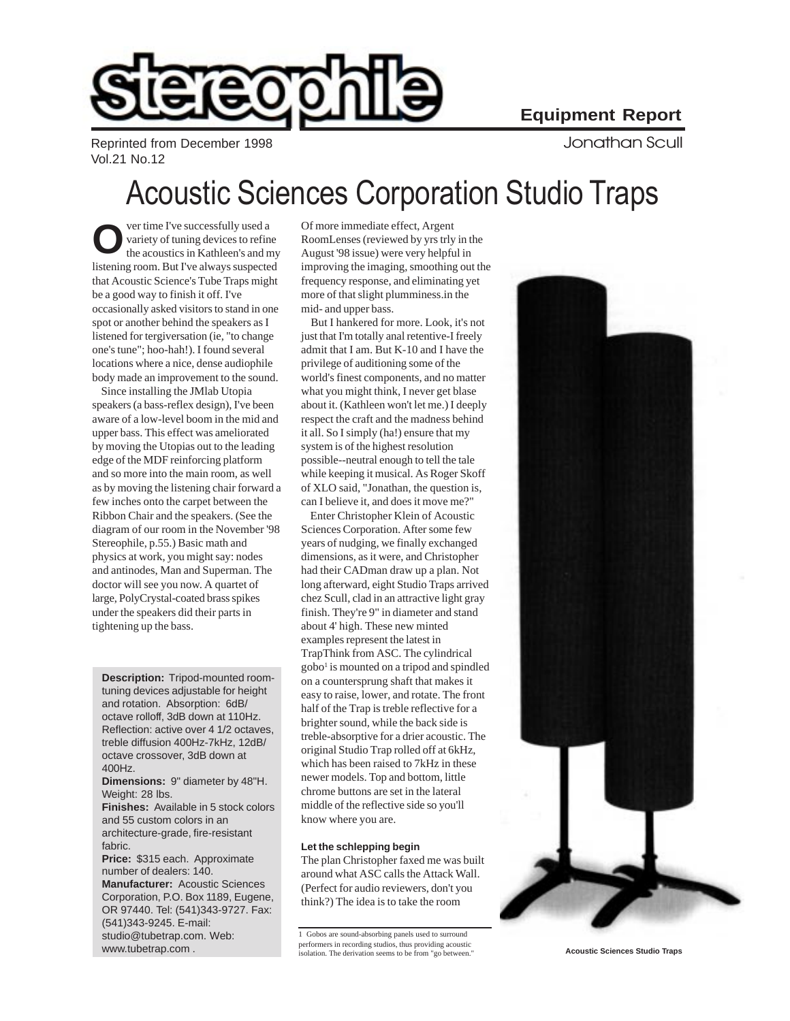Reprinted from December 1998 **State 1998** According to the United Scull September 2018 Vol.21 No.12

# Acoustic Sciences Corporation Studio Traps

ver time I've successfully used a variety of tuning devices to refine **OF THE ACOUST SERVICE SERVICE SERVICE SERVICE SERVICE SERVICE SERVICE SURFERIOR VIOLENCE STATE SURFERIOR SURFERIOR SURFERIOR OF THE MOONLERGES (reviewed by yrs trly the acoustics in Kathleen's and my August '98 issue) wer** listening room. But I've always suspected that Acoustic Science's Tube Traps might be a good way to finish it off. I've occasionally asked visitors to stand in one spot or another behind the speakers as I listened for tergiversation (ie, "to change one's tune"; hoo-hah!). I found several locations where a nice, dense audiophile body made an improvement to the sound.

 Since installing the JMlab Utopia speakers (a bass-reflex design), I've been aware of a low-level boom in the mid and upper bass. This effect was ameliorated by moving the Utopias out to the leading edge of the MDF reinforcing platform and so more into the main room, as well as by moving the listening chair forward a few inches onto the carpet between the Ribbon Chair and the speakers. (See the diagram of our room in the November '98 Stereophile, p.55.) Basic math and physics at work, you might say: nodes and antinodes, Man and Superman. The doctor will see you now. A quartet of large, PolyCrystal-coated brass spikes under the speakers did their parts in tightening up the bass.

**Description:** Tripod-mounted roomtuning devices adjustable for height and rotation. Absorption: 6dB/ octave rolloff, 3dB down at 110Hz. Reflection: active over 4 1/2 octaves, treble diffusion 400Hz-7kHz, 12dB/ octave crossover, 3dB down at 400Hz.

**Dimensions:** 9" diameter by 48"H. Weight: 28 lbs.

**Finishes:** Available in 5 stock colors and 55 custom colors in an architecture-grade, fire-resistant fabric.

**Price:** \$315 each. Approximate number of dealers: 140.

**Manufacturer:** Acoustic Sciences Corporation, P.O. Box 1189, Eugene, OR 97440. Tel: (541)343-9727. Fax: (541)343-9245. E-mail: studio@tubetrap.com. Web: www.tubetrap.com .

RoomLenses (reviewed by yrs trly in the August '98 issue) were very helpful in improving the imaging, smoothing out the frequency response, and eliminating yet more of that slight plumminess.in the mid- and upper bass.

 But I hankered for more. Look, it's not just that I'm totally anal retentive-I freely admit that I am. But K-10 and I have the privilege of auditioning some of the world's finest components, and no matter what you might think, I never get blase about it. (Kathleen won't let me.) I deeply respect the craft and the madness behind it all. So I simply (ha!) ensure that my system is of the highest resolution possible--neutral enough to tell the tale while keeping it musical. As Roger Skoff of XLO said, "Jonathan, the question is, can I believe it, and does it move me?"

 Enter Christopher Klein of Acoustic Sciences Corporation. After some few years of nudging, we finally exchanged dimensions, as it were, and Christopher had their CADman draw up a plan. Not long afterward, eight Studio Traps arrived chez Scull, clad in an attractive light gray finish. They're 9" in diameter and stand about 4' high. These new minted examples represent the latest in TrapThink from ASC. The cylindrical gobo<sup>1</sup> is mounted on a tripod and spindled on a countersprung shaft that makes it easy to raise, lower, and rotate. The front half of the Trap is treble reflective for a brighter sound, while the back side is treble-absorptive for a drier acoustic. The original Studio Trap rolled off at 6kHz, which has been raised to 7kHz in these newer models. Top and bottom, little chrome buttons are set in the lateral middle of the reflective side so you'll know where you are.

### **Let the schlepping begin**

The plan Christopher faxed me was built around what ASC calls the Attack Wall. (Perfect for audio reviewers, don't you think?) The idea is to take the room

<sup>1</sup> Gobos are sound-absorbing panels used to surround performers in recording studios, thus providing acoustic isolation. The derivation seems to be from "go between." **Acoustic Sciences Studio Traps**

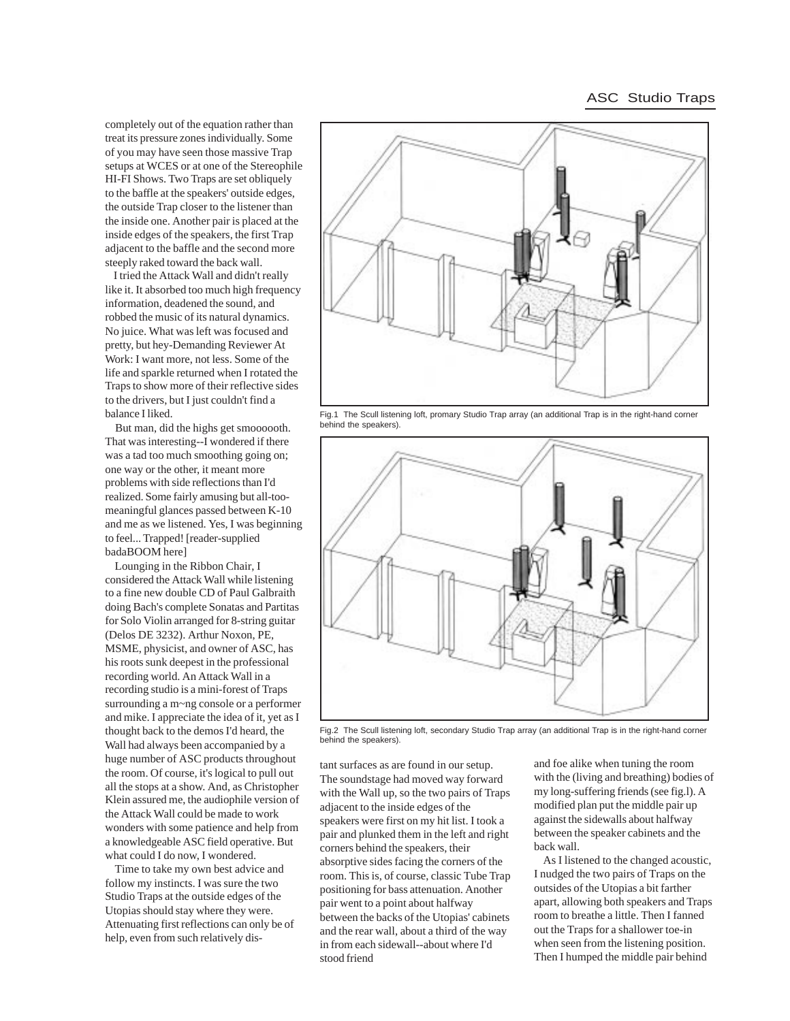## ASC Studio Traps

completely out of the equation rather than treat its pressure zones individually. Some of you may have seen those massive Trap setups at WCES or at one of the Stereophile HI-FI Shows. Two Traps are set obliquely to the baffle at the speakers' outside edges, the outside Trap closer to the listener than the inside one. Another pair is placed at the inside edges of the speakers, the first Trap adjacent to the baffle and the second more steeply raked toward the back wall.

 I tried the Attack Wall and didn't really like it. It absorbed too much high frequency information, deadened the sound, and robbed the music of its natural dynamics. No juice. What was left was focused and pretty, but hey-Demanding Reviewer At Work: I want more, not less. Some of the life and sparkle returned when I rotated the Traps to show more of their reflective sides to the drivers, but I just couldn't find a balance I liked.

 But man, did the highs get smoooooth. That was interesting--I wondered if there was a tad too much smoothing going on; one way or the other, it meant more problems with side reflections than I'd realized. Some fairly amusing but all-toomeaningful glances passed between K-10 and me as we listened. Yes, I was beginning to feel... Trapped! [reader-supplied badaBOOM here]

 Lounging in the Ribbon Chair, I considered the Attack Wall while listening to a fine new double CD of Paul Galbraith doing Bach's complete Sonatas and Partitas for Solo Violin arranged for 8-string guitar (Delos DE 3232). Arthur Noxon, PE, MSME, physicist, and owner of ASC, has his roots sunk deepest in the professional recording world. An Attack Wall in a recording studio is a mini-forest of Traps surrounding a m~ng console or a performer and mike. I appreciate the idea of it, yet as I thought back to the demos I'd heard, the Wall had always been accompanied by a huge number of ASC products throughout the room. Of course, it's logical to pull out all the stops at a show. And, as Christopher Klein assured me, the audiophile version of the Attack Wall could be made to work wonders with some patience and help from a knowledgeable ASC field operative. But what could I do now, I wondered.

 Time to take my own best advice and follow my instincts. I was sure the two Studio Traps at the outside edges of the Utopias should stay where they were. Attenuating first reflections can only be of help, even from such relatively dis-



Fig.1 The Scull listening loft, promary Studio Trap array (an additional Trap is in the right-hand corner behind the speakers).



Fig.2 The Scull listening loft, secondary Studio Trap array (an additional Trap is in the right-hand corner behind the speakers).

tant surfaces as are found in our setup. The soundstage had moved way forward with the Wall up, so the two pairs of Traps adjacent to the inside edges of the speakers were first on my hit list. I took a pair and plunked them in the left and right corners behind the speakers, their absorptive sides facing the corners of the room. This is, of course, classic Tube Trap positioning for bass attenuation. Another pair went to a point about halfway between the backs of the Utopias' cabinets and the rear wall, about a third of the way in from each sidewall--about where I'd stood friend

and foe alike when tuning the room with the (living and breathing) bodies of my long-suffering friends (see fig.l). A modified plan put the middle pair up against the sidewalls about halfway between the speaker cabinets and the back wall.

 As I listened to the changed acoustic, I nudged the two pairs of Traps on the outsides of the Utopias a bit farther apart, allowing both speakers and Traps room to breathe a little. Then I fanned out the Traps for a shallower toe-in when seen from the listening position. Then I humped the middle pair behind